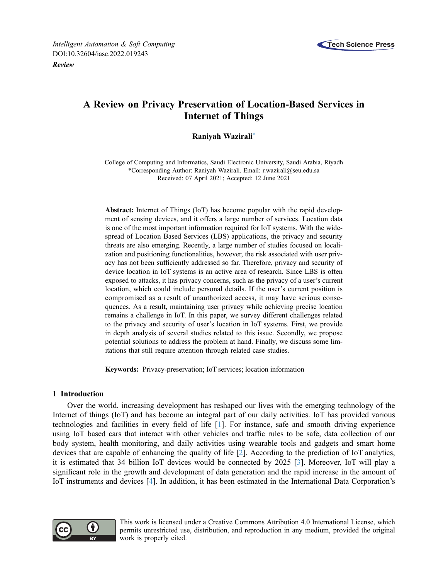

**Roview** 

# A Review on Privacy Preservation of Location-Based Services in Internet of Things

# Raniyah Wazirali[\\*](#page-0-0)

<span id="page-0-0"></span>College of Computing and Informatics, Saudi Electronic University, Saudi Arabia, Riyadh \*Corresponding Author: Raniyah Wazirali. Email: [r.wazirali@seu.edu.sa](mailto:r.wazirali@seu.edu.sa) Received: 07 April 2021; Accepted: 12 June 2021

Abstract: Internet of Things (IoT) has become popular with the rapid development of sensing devices, and it offers a large number of services. Location data is one of the most important information required for IoT systems. With the widespread of Location Based Services (LBS) applications, the privacy and security threats are also emerging. Recently, a large number of studies focused on localization and positioning functionalities, however, the risk associated with user privacy has not been sufficiently addressed so far. Therefore, privacy and security of device location in IoT systems is an active area of research. Since LBS is often exposed to attacks, it has privacy concerns, such as the privacy of a user's current location, which could include personal details. If the user's current position is compromised as a result of unauthorized access, it may have serious consequences. As a result, maintaining user privacy while achieving precise location remains a challenge in IoT. In this paper, we survey different challenges related to the privacy and security of user's location in IoT systems. First, we provide in depth analysis of several studies related to this issue. Secondly, we propose potential solutions to address the problem at hand. Finally, we discuss some limitations that still require attention through related case studies.

Keywords: Privacy-preservation; IoT services; location information

# 1 Introduction

Over the world, increasing development has reshaped our lives with the emerging technology of the Internet of things (IoT) and has become an integral part of our daily activities. IoT has provided various technologies and facilities in every field of life [\[1\]](#page-9-0). For instance, safe and smooth driving experience using IoT based cars that interact with other vehicles and traffic rules to be safe, data collection of our body system, health monitoring, and daily activities using wearable tools and gadgets and smart home devices that are capable of enhancing the quality of life [[2](#page-9-1)]. According to the prediction of IoT analytics, it is estimated that 34 billion IoT devices would be connected by 2025 [[3](#page-9-2)]. Moreover, IoT will play a significant role in the growth and development of data generation and the rapid increase in the amount of IoT instruments and devices [[4\]](#page-9-3). In addition, it has been estimated in the International Data Corporation's



This work is licensed under a Creative Commons Attribution 4.0 International License, which permits unrestricted use, distribution, and reproduction in any medium, provided the original work is properly cited.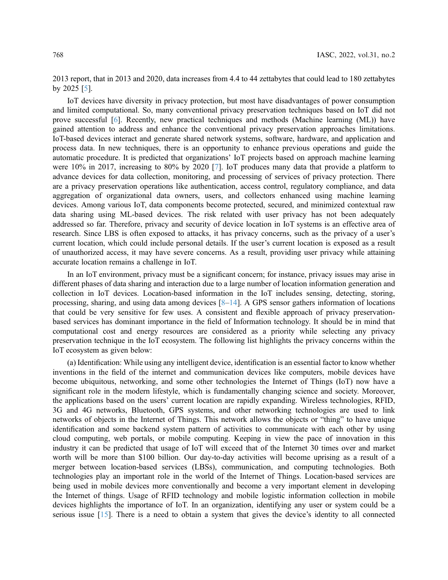2013 report, that in 2013 and 2020, data increases from 4.4 to 44 zettabytes that could lead to 180 zettabytes by 2025 [[5](#page-9-4)].

IoT devices have diversity in privacy protection, but most have disadvantages of power consumption and limited computational. So, many conventional privacy preservation techniques based on IoT did not prove successful [[6\]](#page-9-5). Recently, new practical techniques and methods (Machine learning (ML)) have gained attention to address and enhance the conventional privacy preservation approaches limitations. IoT-based devices interact and generate shared network systems, software, hardware, and application and process data. In new techniques, there is an opportunity to enhance previous operations and guide the automatic procedure. It is predicted that organizations' IoT projects based on approach machine learning were 10% in 2017, increasing to 80% by 2020 [\[7\]](#page-9-6). IoT produces many data that provide a platform to advance devices for data collection, monitoring, and processing of services of privacy protection. There are a privacy preservation operations like authentication, access control, regulatory compliance, and data aggregation of organizational data owners, users, and collectors enhanced using machine learning devices. Among various IoT, data components become protected, secured, and minimized contextual raw data sharing using ML-based devices. The risk related with user privacy has not been adequately addressed so far. Therefore, privacy and security of device location in IoT systems is an effective area of research. Since LBS is often exposed to attacks, it has privacy concerns, such as the privacy of a user's current location, which could include personal details. If the user's current location is exposed as a result of unauthorized access, it may have severe concerns. As a result, providing user privacy while attaining accurate location remains a challenge in IoT.

In an IoT environment, privacy must be a significant concern; for instance, privacy issues may arise in different phases of data sharing and interaction due to a large number of location information generation and collection in IoT devices. Location-based information in the IoT includes sensing, detecting, storing, processing, sharing, and using data among devices [\[8](#page-9-7)–[14](#page-10-0)]. A GPS sensor gathers information of locations that could be very sensitive for few uses. A consistent and flexible approach of privacy preservationbased services has dominant importance in the field of Information technology. It should be in mind that computational cost and energy resources are considered as a priority while selecting any privacy preservation technique in the IoT ecosystem. The following list highlights the privacy concerns within the IoT ecosystem as given below:

(a) Identification: While using any intelligent device, identification is an essential factor to know whether inventions in the field of the internet and communication devices like computers, mobile devices have become ubiquitous, networking, and some other technologies the Internet of Things (IoT) now have a significant role in the modern lifestyle, which is fundamentally changing science and society. Moreover, the applications based on the users' current location are rapidly expanding. Wireless technologies, RFID, 3G and 4G networks, Bluetooth, GPS systems, and other networking technologies are used to link networks of objects in the Internet of Things. This network allows the objects or "thing" to have unique identification and some backend system pattern of activities to communicate with each other by using cloud computing, web portals, or mobile computing. Keeping in view the pace of innovation in this industry it can be predicted that usage of IoT will exceed that of the Internet 30 times over and market worth will be more than \$100 billion. Our day-to-day activities will become uprising as a result of a merger between location-based services (LBSs), communication, and computing technologies. Both technologies play an important role in the world of the Internet of Things. Location-based services are being used in mobile devices more conventionally and become a very important element in developing the Internet of things. Usage of RFID technology and mobile logistic information collection in mobile devices highlights the importance of IoT. In an organization, identifying any user or system could be a serious issue [\[15](#page-10-1)]. There is a need to obtain a system that gives the device's identity to all connected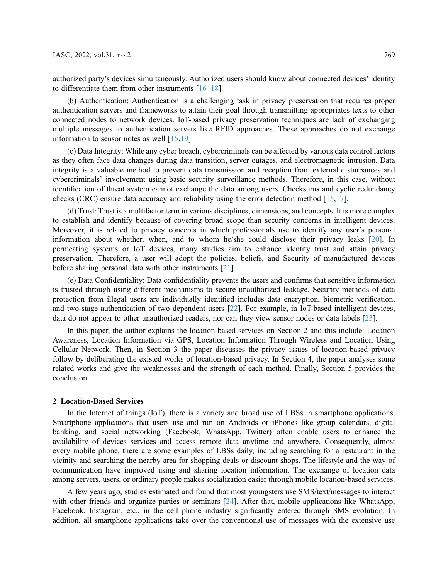authorized party's devices simultaneously. Authorized users should know about connected devices' identity to differentiate them from other instruments [[16](#page-10-2)–[18\]](#page-10-3).

(b) Authentication: Authentication is a challenging task in privacy preservation that requires proper authentication servers and frameworks to attain their goal through transmitting appropriates texts to other connected nodes to network devices. IoT-based privacy preservation techniques are lack of exchanging multiple messages to authentication servers like RFID approaches. These approaches do not exchange information to sensor notes as well [[15,](#page-10-1)[19\]](#page-10-4).

(c) Data Integrity: While any cyber breach, cybercriminals can be affected by various data control factors as they often face data changes during data transition, server outages, and electromagnetic intrusion. Data integrity is a valuable method to prevent data transmission and reception from external disturbances and cybercriminals' involvement using basic security surveillance methods. Therefore, in this case, without identification of threat system cannot exchange the data among users. Checksums and cyclic redundancy checks (CRC) ensure data accuracy and reliability using the error detection method [[15](#page-10-1)[,17](#page-10-5)].

(d) Trust: Trust is a multifactor term in various disciplines, dimensions, and concepts. It is more complex to establish and identify because of covering broad scope than security concerns in intelligent devices. Moreover, it is related to privacy concepts in which professionals use to identify any user's personal information about whether, when, and to whom he/she could disclose their privacy leaks [[20\]](#page-10-6). In permeating systems or IoT devices, many studies aim to enhance identity trust and attain privacy preservation. Therefore, a user will adopt the policies, beliefs, and Security of manufactured devices before sharing personal data with other instruments [[21\]](#page-10-7).

(e) Data Confidentiality: Data confidentiality prevents the users and confirms that sensitive information is trusted through using different mechanisms to secure unauthorized leakage. Security methods of data protection from illegal users are individually identified includes data encryption, biometric verification, and two-stage authentication of two dependent users [\[22](#page-10-8)]. For example, in IoT-based intelligent devices, data do not appear to other unauthorized readers, nor can they view sensor nodes or data labels [[23\]](#page-10-9).

In this paper, the author explains the location-based services on Section 2 and this include: Location Awareness, Location Information via GPS, Location Information Through Wireless and Location Using Cellular Network. Then, in Section 3 the paper discusses the privacy issues of location-based privacy follow by deliberating the existed works of location-based privacy. In Section 4, the paper analyses some related works and give the weaknesses and the strength of each method. Finally, Section 5 provides the conclusion.

### 2 Location-Based Services

In the Internet of things (IoT), there is a variety and broad use of LBSs in smartphone applications. Smartphone applications that users use and run on Androids or iPhones like group calendars, digital banking, and social networking (Facebook, WhatsApp, Twitter) often enable users to enhance the availability of devices services and access remote data anytime and anywhere. Consequently, almost every mobile phone, there are some examples of LBSs daily, including searching for a restaurant in the vicinity and searching the nearby area for shopping deals or discount shops. The lifestyle and the way of communication have improved using and sharing location information. The exchange of location data among servers, users, or ordinary people makes socialization easier through mobile location-based services.

A few years ago, studies estimated and found that most youngsters use SMS/text/messages to interact with other friends and organize parties or seminars [[24\]](#page-10-10). After that, mobile applications like WhatsApp, Facebook, Instagram, etc., in the cell phone industry significantly entered through SMS evolution. In addition, all smartphone applications take over the conventional use of messages with the extensive use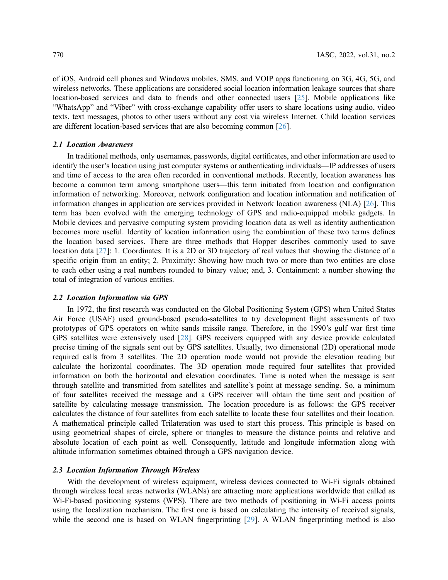of iOS, Android cell phones and Windows mobiles, SMS, and VOIP apps functioning on 3G, 4G, 5G, and wireless networks. These applications are considered social location information leakage sources that share location-based services and data to friends and other connected users [\[25](#page-10-11)]. Mobile applications like "WhatsApp" and "Viber" with cross-exchange capability offer users to share locations using audio, video texts, text messages, photos to other users without any cost via wireless Internet. Child location services are different location-based services that are also becoming common [[26\]](#page-10-12).

In traditional methods, only usernames, passwords, digital certificates, and other information are used to identify the user's location using just computer systems or authenticating individuals—IP addresses of users and time of access to the area often recorded in conventional methods. Recently, location awareness has become a common term among smartphone users—this term initiated from location and configuration information of networking. Moreover, network configuration and location information and notification of information changes in application are services provided in Network location awareness (NLA) [\[26](#page-10-12)]. This term has been evolved with the emerging technology of GPS and radio-equipped mobile gadgets. In Mobile devices and pervasive computing system providing location data as well as identity authentication becomes more useful. Identity of location information using the combination of these two terms defines the location based services. There are three methods that Hopper describes commonly used to save location data [\[27](#page-10-13)]: 1. Coordinates: It is a 2D or 3D trajectory of real values that showing the distance of a specific origin from an entity; 2. Proximity: Showing how much two or more than two entities are close to each other using a real numbers rounded to binary value; and, 3. Containment: a number showing the total of integration of various entities.

In 1972, the first research was conducted on the Global Positioning System (GPS) when United States Air Force (USAF) used ground-based pseudo-satellites to try development flight assessments of two prototypes of GPS operators on white sands missile range. Therefore, in the 1990's gulf war first time GPS satellites were extensively used [[28\]](#page-10-14). GPS receivers equipped with any device provide calculated precise timing of the signals sent out by GPS satellites. Usually, two dimensional (2D) operational mode required calls from 3 satellites. The 2D operation mode would not provide the elevation reading but calculate the horizontal coordinates. The 3D operation mode required four satellites that provided information on both the horizontal and elevation coordinates. Time is noted when the message is sent through satellite and transmitted from satellites and satellite's point at message sending. So, a minimum of four satellites received the message and a GPS receiver will obtain the time sent and position of satellite by calculating message transmission. The location procedure is as follows: the GPS receiver calculates the distance of four satellites from each satellite to locate these four satellites and their location. A mathematical principle called Trilateration was used to start this process. This principle is based on using geometrical shapes of circle, sphere or triangles to measure the distance points and relative and absolute location of each point as well. Consequently, latitude and longitude information along with altitude information sometimes obtained through a GPS navigation device.

With the development of wireless equipment, wireless devices connected to Wi-Fi signals obtained through wireless local areas networks (WLANs) are attracting more applications worldwide that called as Wi-Fi-based positioning systems (WPS). There are two methods of positioning in Wi-Fi access points using the localization mechanism. The first one is based on calculating the intensity of received signals, while the second one is based on WLAN fingerprinting [\[29](#page-10-15)]. A WLAN fingerprinting method is also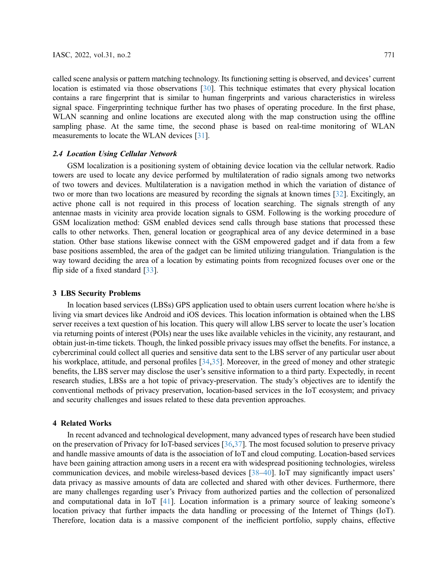called scene analysis or pattern matching technology. Its functioning setting is observed, and devices' current location is estimated via those observations [[30\]](#page-10-16). This technique estimates that every physical location contains a rare fingerprint that is similar to human fingerprints and various characteristics in wireless signal space. Fingerprinting technique further has two phases of operating procedure. In the first phase, WLAN scanning and online locations are executed along with the map construction using the offline sampling phase. At the same time, the second phase is based on real-time monitoring of WLAN measurements to locate the WLAN devices [[31\]](#page-10-17).

GSM localization is a positioning system of obtaining device location via the cellular network. Radio towers are used to locate any device performed by multilateration of radio signals among two networks of two towers and devices. Multilateration is a navigation method in which the variation of distance of two or more than two locations are measured by recording the signals at known times [[32\]](#page-11-0). Excitingly, an active phone call is not required in this process of location searching. The signals strength of any antennae masts in vicinity area provide location signals to GSM. Following is the working procedure of GSM localization method: GSM enabled devices send calls through base stations that processed these calls to other networks. Then, general location or geographical area of any device determined in a base station. Other base stations likewise connect with the GSM empowered gadget and if data from a few base positions assembled, the area of the gadget can be limited utilizing triangulation. Triangulation is the way toward deciding the area of a location by estimating points from recognized focuses over one or the flip side of a fixed standard  $[33]$  $[33]$ .

### 3 LBS Security Problems

In location based services (LBSs) GPS application used to obtain users current location where he/she is living via smart devices like Android and iOS devices. This location information is obtained when the LBS server receives a text question of his location. This query will allow LBS server to locate the user's location via returning points of interest (POIs) near the uses like available vehicles in the vicinity, any restaurant, and obtain just-in-time tickets. Though, the linked possible privacy issues may offset the benefits. For instance, a cybercriminal could collect all queries and sensitive data sent to the LBS server of any particular user about his workplace, attitude, and personal profiles [[34](#page-11-2)[,35](#page-11-3)]. Moreover, in the greed of money and other strategic benefits, the LBS server may disclose the user's sensitive information to a third party. Expectedly, in recent research studies, LBSs are a hot topic of privacy-preservation. The study's objectives are to identify the conventional methods of privacy preservation, location-based services in the IoT ecosystem; and privacy and security challenges and issues related to these data prevention approaches.

### 4 Related Works

In recent advanced and technological development, many advanced types of research have been studied on the preservation of Privacy for IoT-based services [[36,](#page-11-4)[37](#page-11-5)]. The most focused solution to preserve privacy and handle massive amounts of data is the association of IoT and cloud computing. Location-based services have been gaining attraction among users in a recent era with widespread positioning technologies, wireless communication devices, and mobile wireless-based devices [[38](#page-11-6)–[40](#page-11-7)]. IoT may significantly impact users' data privacy as massive amounts of data are collected and shared with other devices. Furthermore, there are many challenges regarding user's Privacy from authorized parties and the collection of personalized and computational data in IoT [[41\]](#page-11-8). Location information is a primary source of leaking someone's location privacy that further impacts the data handling or processing of the Internet of Things (IoT). Therefore, location data is a massive component of the inefficient portfolio, supply chains, effective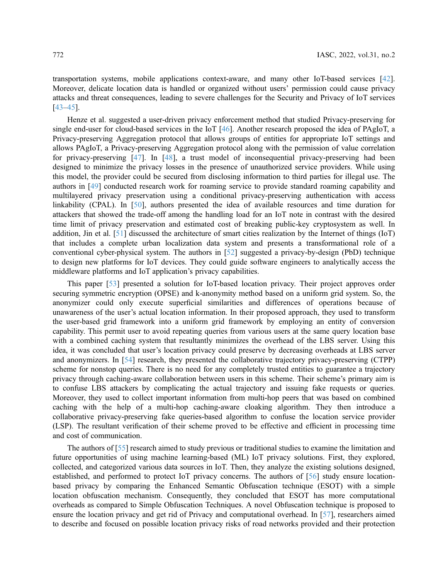transportation systems, mobile applications context-aware, and many other IoT-based services [[42\]](#page-11-9). Moreover, delicate location data is handled or organized without users' permission could cause privacy attacks and threat consequences, leading to severe challenges for the Security and Privacy of IoT services [[43](#page-11-10)–[45\]](#page-11-11).

Henze et al. suggested a user-driven privacy enforcement method that studied Privacy-preserving for single end-user for cloud-based services in the IoT [\[46](#page-11-12)]. Another research proposed the idea of PAgIoT, a Privacy-preserving Aggregation protocol that allows groups of entities for appropriate IoT settings and allows PAgIoT, a Privacy-preserving Aggregation protocol along with the permission of value correlation for privacy-preserving [[47\]](#page-11-13). In [\[48](#page-11-14)], a trust model of inconsequential privacy-preserving had been designed to minimize the privacy losses in the presence of unauthorized service providers. While using this model, the provider could be secured from disclosing information to third parties for illegal use. The authors in [[49\]](#page-11-15) conducted research work for roaming service to provide standard roaming capability and multilayered privacy preservation using a conditional privacy-preserving authentication with access linkability (CPAL). In [[50\]](#page-11-16), authors presented the idea of available resources and time duration for attackers that showed the trade-off among the handling load for an IoT note in contrast with the desired time limit of privacy preservation and estimated cost of breaking public-key cryptosystem as well. In addition, Jin et al. [\[51](#page-11-17)] discussed the architecture of smart cities realization by the Internet of things (IoT) that includes a complete urban localization data system and presents a transformational role of a conventional cyber-physical system. The authors in [[52\]](#page-11-18) suggested a privacy-by-design (PbD) technique to design new platforms for IoT devices. They could guide software engineers to analytically access the middleware platforms and IoT application's privacy capabilities.

This paper [[53\]](#page-11-19) presented a solution for IoT-based location privacy. Their project approves order securing symmetric encryption (OPSE) and k-anonymity method based on a uniform grid system. So, the anonymizer could only execute superficial similarities and differences of operations because of unawareness of the user's actual location information. In their proposed approach, they used to transform the user-based grid framework into a uniform grid framework by employing an entity of conversion capability. This permit user to avoid repeating queries from various users at the same query location base with a combined caching system that resultantly minimizes the overhead of the LBS server. Using this idea, it was concluded that user's location privacy could preserve by decreasing overheads at LBS server and anonymizers. In [\[54\]](#page-12-0) research, they presented the collaborative trajectory privacy-preserving (CTPP) scheme for nonstop queries. There is no need for any completely trusted entities to guarantee a trajectory privacy through caching-aware collaboration between users in this scheme. Their scheme's primary aim is to confuse LBS attackers by complicating the actual trajectory and issuing fake requests or queries. Moreover, they used to collect important information from multi-hop peers that was based on combined caching with the help of a multi-hop caching-aware cloaking algorithm. They then introduce a collaborative privacy-preserving fake queries-based algorithm to confuse the location service provider (LSP). The resultant verification of their scheme proved to be effective and efficient in processing time and cost of communication.

The authors of [[55\]](#page-12-1) research aimed to study previous or traditional studies to examine the limitation and future opportunities of using machine learning-based (ML) IoT privacy solutions. First, they explored, collected, and categorized various data sources in IoT. Then, they analyze the existing solutions designed, established, and performed to protect IoT privacy concerns. The authors of [[56\]](#page-12-2) study ensure locationbased privacy by comparing the Enhanced Semantic Obfuscation technique (ESOT) with a simple location obfuscation mechanism. Consequently, they concluded that ESOT has more computational overheads as compared to Simple Obfuscation Techniques. A novel Obfuscation technique is proposed to ensure the location privacy and get rid of Privacy and computational overhead. In [\[57](#page-12-3)], researchers aimed to describe and focused on possible location privacy risks of road networks provided and their protection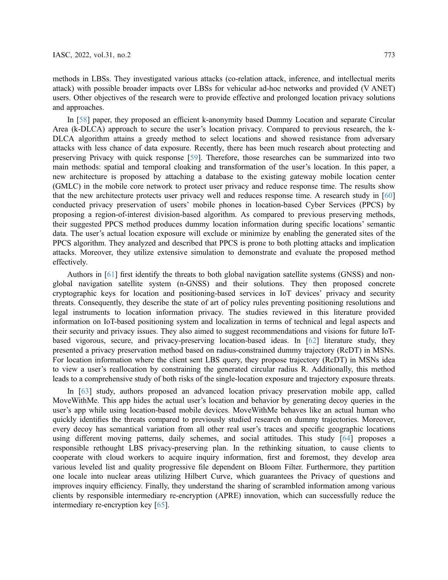methods in LBSs. They investigated various attacks (co-relation attack, inference, and intellectual merits attack) with possible broader impacts over LBSs for vehicular ad-hoc networks and provided (V ANET) users. Other objectives of the research were to provide effective and prolonged location privacy solutions and approaches.

In [\[58](#page-12-4)] paper, they proposed an efficient k-anonymity based Dummy Location and separate Circular Area (k-DLCA) approach to secure the user's location privacy. Compared to previous research, the k-DLCA algorithm attains a greedy method to select locations and showed resistance from adversary attacks with less chance of data exposure. Recently, there has been much research about protecting and preserving Privacy with quick response [[59\]](#page-12-5). Therefore, those researches can be summarized into two main methods: spatial and temporal cloaking and transformation of the user's location. In this paper, a new architecture is proposed by attaching a database to the existing gateway mobile location center (GMLC) in the mobile core network to protect user privacy and reduce response time. The results show that the new architecture protects user privacy well and reduces response time. A research study in [[60\]](#page-12-6) conducted privacy preservation of users' mobile phones in location-based Cyber Services (PPCS) by proposing a region-of-interest division-based algorithm. As compared to previous preserving methods, their suggested PPCS method produces dummy location information during specific locations' semantic data. The user's actual location exposure will exclude or minimize by enabling the generated sites of the PPCS algorithm. They analyzed and described that PPCS is prone to both plotting attacks and implication attacks. Moreover, they utilize extensive simulation to demonstrate and evaluate the proposed method effectively.

Authors in [\[61](#page-12-7)] first identify the threats to both global navigation satellite systems (GNSS) and nonglobal navigation satellite system (n-GNSS) and their solutions. They then proposed concrete cryptographic keys for location and positioning-based services in IoT devices' privacy and security threats. Consequently, they describe the state of art of policy rules preventing positioning resolutions and legal instruments to location information privacy. The studies reviewed in this literature provided information on IoT-based positioning system and localization in terms of technical and legal aspects and their security and privacy issues. They also aimed to suggest recommendations and visions for future IoTbased vigorous, secure, and privacy-preserving location-based ideas. In [[62\]](#page-12-8) literature study, they presented a privacy preservation method based on radius-constrained dummy trajectory (RcDT) in MSNs. For location information where the client sent LBS query, they propose trajectory (RcDT) in MSNs idea to view a user's reallocation by constraining the generated circular radius R. Additionally, this method leads to a comprehensive study of both risks of the single-location exposure and trajectory exposure threats.

In [[63\]](#page-12-9) study, authors proposed an advanced location privacy preservation mobile app, called MoveWithMe. This app hides the actual user's location and behavior by generating decoy queries in the user's app while using location-based mobile devices. MoveWithMe behaves like an actual human who quickly identifies the threats compared to previously studied research on dummy trajectories. Moreover, every decoy has semantical variation from all other real user's traces and specific geographic locations using different moving patterns, daily schemes, and social attitudes. This study [\[64](#page-12-10)] proposes a responsible rethought LBS privacy-preserving plan. In the rethinking situation, to cause clients to cooperate with cloud workers to acquire inquiry information, first and foremost, they develop area various leveled list and quality progressive file dependent on Bloom Filter. Furthermore, they partition one locale into nuclear areas utilizing Hilbert Curve, which guarantees the Privacy of questions and improves inquiry efficiency. Finally, they understand the sharing of scrambled information among various clients by responsible intermediary re-encryption (APRE) innovation, which can successfully reduce the intermediary re-encryption key [[65\]](#page-12-11).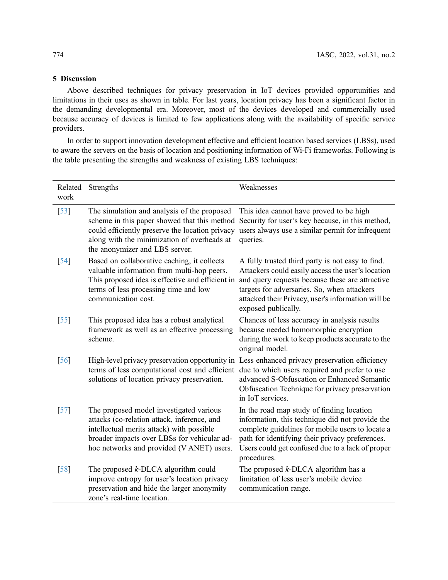# 5 Discussion

Above described techniques for privacy preservation in IoT devices provided opportunities and limitations in their uses as shown in table. For last years, location privacy has been a significant factor in the demanding developmental era. Moreover, most of the devices developed and commercially used because accuracy of devices is limited to few applications along with the availability of specific service providers.

In order to support innovation development effective and efficient location based services (LBSs), used to aware the servers on the basis of location and positioning information of Wi-Fi frameworks. Following is the table presenting the strengths and weakness of existing LBS techniques:

| Related<br>work    | Strengths                                                                                                                                                                                                                       | Weaknesses                                                                                                                                                                                                                                                                           |
|--------------------|---------------------------------------------------------------------------------------------------------------------------------------------------------------------------------------------------------------------------------|--------------------------------------------------------------------------------------------------------------------------------------------------------------------------------------------------------------------------------------------------------------------------------------|
| $\left[53\right]$  | The simulation and analysis of the proposed<br>could efficiently preserve the location privacy<br>along with the minimization of overheads at<br>the anonymizer and LBS server.                                                 | This idea cannot have proved to be high<br>scheme in this paper showed that this method Security for user's key because, in this method,<br>users always use a similar permit for infrequent<br>queries.                                                                             |
| [54]               | Based on collaborative caching, it collects<br>valuable information from multi-hop peers.<br>This proposed idea is effective and efficient in<br>terms of less processing time and low<br>communication cost.                   | A fully trusted third party is not easy to find.<br>Attackers could easily access the user's location<br>and query requests because these are attractive<br>targets for adversaries. So, when attackers<br>attacked their Privacy, user's information will be<br>exposed publically. |
| $\left[55\right]$  | This proposed idea has a robust analytical<br>framework as well as an effective processing<br>scheme.                                                                                                                           | Chances of less accuracy in analysis results<br>because needed homomorphic encryption<br>during the work to keep products accurate to the<br>original model.                                                                                                                         |
| $\lceil 56 \rceil$ | terms of less computational cost and efficient<br>solutions of location privacy preservation.                                                                                                                                   | High-level privacy preservation opportunity in Less enhanced privacy preservation efficiency<br>due to which users required and prefer to use<br>advanced S-Obfuscation or Enhanced Semantic<br>Obfuscation Technique for privacy preservation<br>in IoT services.                   |
| [57]               | The proposed model investigated various<br>attacks (co-relation attack, inference, and<br>intellectual merits attack) with possible<br>broader impacts over LBSs for vehicular ad-<br>hoc networks and provided (V ANET) users. | In the road map study of finding location<br>information, this technique did not provide the<br>complete guidelines for mobile users to locate a<br>path for identifying their privacy preferences.<br>Users could get confused due to a lack of proper<br>procedures.               |
| [58]               | The proposed $k$ -DLCA algorithm could<br>improve entropy for user's location privacy<br>preservation and hide the larger anonymity<br>zone's real-time location.                                                               | The proposed $k$ -DLCA algorithm has a<br>limitation of less user's mobile device<br>communication range.                                                                                                                                                                            |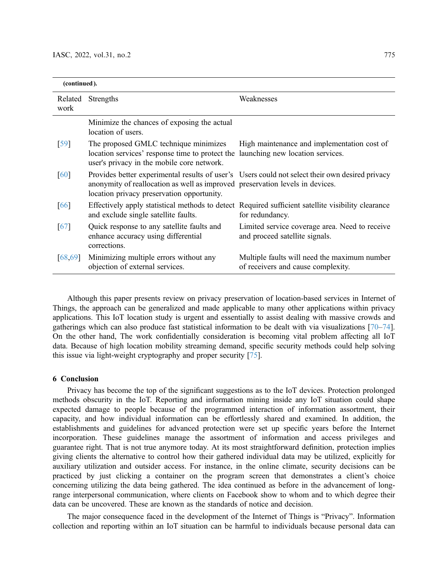| (continued).       |                                                                                                                                        |                                                                                                                       |
|--------------------|----------------------------------------------------------------------------------------------------------------------------------------|-----------------------------------------------------------------------------------------------------------------------|
| Related<br>work    | Strengths                                                                                                                              | Weaknesses                                                                                                            |
|                    | Minimize the chances of exposing the actual<br>location of users.                                                                      |                                                                                                                       |
| $\lceil 59 \rceil$ | The proposed GMLC technique minimizes<br>location services' response time to protect the<br>user's privacy in the mobile core network. | High maintenance and implementation cost of<br>launching new location services.                                       |
| <b>60</b>          | anonymity of reallocation as well as improved preservation levels in devices.<br>location privacy preservation opportunity.            | Provides better experimental results of user's Users could not select their own desired privacy                       |
| <b>66</b>          | and exclude single satellite faults.                                                                                                   | Effectively apply statistical methods to detect Required sufficient satellite visibility clearance<br>for redundancy. |
| [67]               | Quick response to any satellite faults and<br>enhance accuracy using differential<br>corrections.                                      | Limited service coverage area. Need to receive<br>and proceed satellite signals.                                      |
| [68, 69]           | Minimizing multiple errors without any<br>objection of external services.                                                              | Multiple faults will need the maximum number<br>of receivers and cause complexity.                                    |

Although this paper presents review on privacy preservation of location-based services in Internet of Things, the approach can be generalized and made applicable to many other applications within privacy applications. This IoT location study is urgent and essentially to assist dealing with massive crowds and gatherings which can also produce fast statistical information to be dealt with via visualizations [\[70](#page-12-12)–[74\]](#page-12-13). On the other hand, The work confidentially consideration is becoming vital problem affecting all IoT data. Because of high location mobility streaming demand, specific security methods could help solving this issue via light-weight cryptography and proper security [\[75](#page-12-14)].

# 6 Conclusion

Privacy has become the top of the significant suggestions as to the IoT devices. Protection prolonged methods obscurity in the IoT. Reporting and information mining inside any IoT situation could shape expected damage to people because of the programmed interaction of information assortment, their capacity, and how individual information can be effortlessly shared and examined. In addition, the establishments and guidelines for advanced protection were set up specific years before the Internet incorporation. These guidelines manage the assortment of information and access privileges and guarantee right. That is not true anymore today. At its most straightforward definition, protection implies giving clients the alternative to control how their gathered individual data may be utilized, explicitly for auxiliary utilization and outsider access. For instance, in the online climate, security decisions can be practiced by just clicking a container on the program screen that demonstrates a client's choice concerning utilizing the data being gathered. The idea continued as before in the advancement of longrange interpersonal communication, where clients on Facebook show to whom and to which degree their data can be uncovered. These are known as the standards of notice and decision.

The major consequence faced in the development of the Internet of Things is "Privacy". Information collection and reporting within an IoT situation can be harmful to individuals because personal data can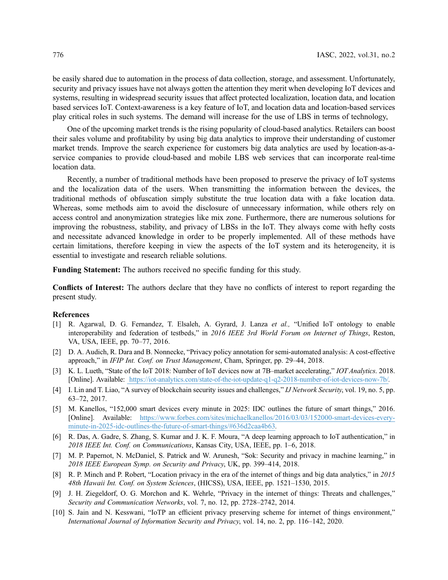be easily shared due to automation in the process of data collection, storage, and assessment. Unfortunately, security and privacy issues have not always gotten the attention they merit when developing IoT devices and systems, resulting in widespread security issues that affect protected localization, location data, and location based services IoT. Context-awareness is a key feature of IoT, and location data and location-based services play critical roles in such systems. The demand will increase for the use of LBS in terms of technology,

One of the upcoming market trends is the rising popularity of cloud-based analytics. Retailers can boost their sales volume and profitability by using big data analytics to improve their understanding of customer market trends. Improve the search experience for customers big data analytics are used by location-as-aservice companies to provide cloud-based and mobile LBS web services that can incorporate real-time location data.

Recently, a number of traditional methods have been proposed to preserve the privacy of IoT systems and the localization data of the users. When transmitting the information between the devices, the traditional methods of obfuscation simply substitute the true location data with a fake location data. Whereas, some methods aim to avoid the disclosure of unnecessary information, while others rely on access control and anonymization strategies like mix zone. Furthermore, there are numerous solutions for improving the robustness, stability, and privacy of LBSs in the IoT. They always come with hefty costs and necessitate advanced knowledge in order to be properly implemented. All of these methods have certain limitations, therefore keeping in view the aspects of the IoT system and its heterogeneity, it is essential to investigate and research reliable solutions.

Funding Statement: The authors received no specific funding for this study.

Conflicts of Interest: The authors declare that they have no conflicts of interest to report regarding the present study.

### References

- <span id="page-9-0"></span>[1] R. Agarwal, D. G. Fernandez, T. Elsaleh, A. Gyrard, J. Lanza et al., "Unified IoT ontology to enable interoperability and federation of testbeds," in 2016 IEEE 3rd World Forum on Internet of Things, Reston, VA, USA, IEEE, pp. 70–77, 2016.
- <span id="page-9-1"></span>[2] D. A. Audich, R. Dara and B. Nonnecke, "Privacy policy annotation for semi-automated analysis: A cost-effective approach," in IFIP Int. Conf. on Trust Management, Cham, Springer, pp. 29–44, 2018.
- <span id="page-9-2"></span>[3] K. L. Lueth, "State of the IoT 2018: Number of IoT devices now at 7B–market accelerating," IOT Analytics. 2018. [Online]. Available: <https://iot-analytics.com/state-of-the-iot-update-q1-q2-2018-number-of-iot-devices-now-7b/>.
- <span id="page-9-3"></span>[4] I. Lin and T. Liao, "A survey of blockchain security issues and challenges," IJ Network Security, vol. 19, no. 5, pp. 63–72, 2017.
- <span id="page-9-4"></span>[5] M. Kanellos, "152,000 smart devices every minute in 2025: IDC outlines the future of smart things," 2016. [Online]. Available: [https://www.forbes.com/sites/michaelkanellos/2016/03/03/152000-smart-devices-every](https://www.forbes.com/sites/michaelkanellos/2016/03/03/152000-smart-devices-every-minute-in-2025-idc-outlines-the-future-of-smart-things/#636d2caa4b63)[minute-in-2025-idc-outlines-the-future-of-smart-things/#636d2caa4b63](https://www.forbes.com/sites/michaelkanellos/2016/03/03/152000-smart-devices-every-minute-in-2025-idc-outlines-the-future-of-smart-things/#636d2caa4b63).
- <span id="page-9-5"></span>[6] R. Das, A. Gadre, S. Zhang, S. Kumar and J. K. F. Moura, "A deep learning approach to IoT authentication," in 2018 IEEE Int. Conf. on Communications, Kansas City, USA, IEEE, pp. 1–6, 2018.
- <span id="page-9-6"></span>[7] M. P. Papernot, N. McDaniel, S. Patrick and W. Arunesh, "Sok: Security and privacy in machine learning," in 2018 IEEE European Symp. on Security and Privacy, UK, pp. 399–414, 2018.
- <span id="page-9-7"></span>[8] R. P. Minch and P. Robert, "Location privacy in the era of the internet of things and big data analytics," in 2015 48th Hawaii Int. Conf. on System Sciences, (HICSS), USA, IEEE, pp. 1521–1530, 2015.
- [9] J. H. Ziegeldorf, O. G. Morchon and K. Wehrle, "Privacy in the internet of things: Threats and challenges," Security and Communication Networks, vol. 7, no. 12, pp. 2728–2742, 2014.
- [10] S. Jain and N. Kesswani, "IoTP an efficient privacy preserving scheme for internet of things environment," International Journal of Information Security and Privacy, vol. 14, no. 2, pp. 116–142, 2020.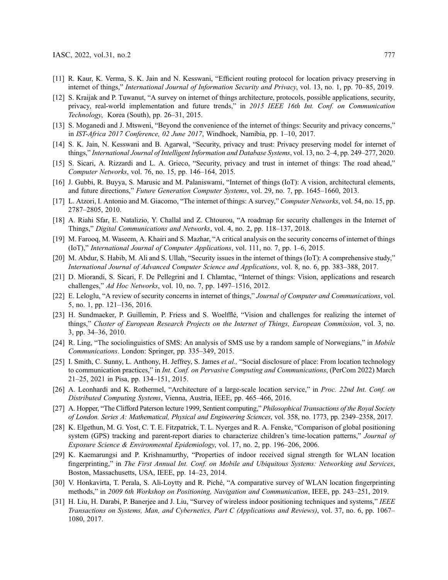- [11] R. Kaur, K. Verma, S. K. Jain and N. Kesswani, "Efficient routing protocol for location privacy preserving in internet of things," International Journal of Information Security and Privacy, vol. 13, no. 1, pp. 70–85, 2019.
- [12] S. Kraijak and P. Tuwanut, "A survey on internet of things architecture, protocols, possible applications, security, privacy, real-world implementation and future trends," in 2015 IEEE 16th Int. Conf. on Communication Technology, Korea (South), pp. 26–31, 2015.
- [13] S. Moganedi and J. Mtsweni, "Beyond the convenience of the internet of things: Security and privacy concerns," in IST-Africa 2017 Conference, 02 June 2017, Windhoek, Namibia, pp. 1–10, 2017.
- <span id="page-10-0"></span>[14] S. K. Jain, N. Kesswani and B. Agarwal, "Security, privacy and trust: Privacy preserving model for internet of things," International Journal of Intelligent Information and Database Systems, vol. 13, no. 2–4, pp. 249–277, 2020.
- <span id="page-10-1"></span>[15] S. Sicari, A. Rizzardi and L. A. Grieco, "Security, privacy and trust in internet of things: The road ahead," Computer Networks, vol. 76, no. 15, pp. 146–164, 2015.
- <span id="page-10-2"></span>[16] J. Gubbi, R. Buyya, S. Marusic and M. Palaniswami, "Internet of things (IoT): A vision, architectural elements, and future directions," Future Generation Computer Systems, vol. 29, no. 7, pp. 1645–1660, 2013.
- <span id="page-10-5"></span>[17] L. Atzori, I. Antonio and M. Giacomo, "The internet of things: A survey," Computer Networks, vol. 54, no. 15, pp. 2787–2805, 2010.
- <span id="page-10-3"></span>[18] A. Riahi Sfar, E. Natalizio, Y. Challal and Z. Chtourou, "A roadmap for security challenges in the Internet of Things," Digital Communications and Networks, vol. 4, no. 2, pp. 118–137, 2018.
- <span id="page-10-4"></span>[19] M. Farooq, M. Waseem, A. Khairi and S. Mazhar, "A critical analysis on the security concerns of internet of things (IoT)," International Journal of Computer Applications, vol. 111, no. 7, pp. 1–6, 2015.
- <span id="page-10-6"></span>[20] M. Abdur, S. Habib, M. Ali and S. Ullah, "Security issues in the internet of things (IoT): A comprehensive study," International Journal of Advanced Computer Science and Applications, vol. 8, no. 6, pp. 383–388, 2017.
- <span id="page-10-7"></span>[21] D. Miorandi, S. Sicari, F. De Pellegrini and I. Chlamtac, "Internet of things: Vision, applications and research challenges," Ad Hoc Networks, vol. 10, no. 7, pp. 1497–1516, 2012.
- <span id="page-10-8"></span>[22] E. Leloglu, "A review of security concerns in internet of things," Journal of Computer and Communications, vol. 5, no. 1, pp. 121–136, 2016.
- <span id="page-10-9"></span>[23] H. Sundmaeker, P. Guillemin, P. Friess and S. Woelfflé, "Vision and challenges for realizing the internet of things," Cluster of European Research Projects on the Internet of Things, European Commission, vol. 3, no. 3, pp. 34–36, 2010.
- <span id="page-10-10"></span>[24] R. Ling, "The sociolinguistics of SMS: An analysis of SMS use by a random sample of Norwegians," in *Mobile* Communications. London: Springer, pp. 335–349, 2015.
- <span id="page-10-11"></span>[25] I. Smith, C. Sunny, L. Anthony, H. Jeffrey, S. James et al., "Social disclosure of place: From location technology to communication practices," in *Int. Conf. on Pervasive Computing and Communications*, (PerCom 2022) March 21–25, 2021 in Pisa, pp. 134–151, 2015.
- <span id="page-10-12"></span>[26] A. Leonhardi and K. Rothermel, "Architecture of a large-scale location service," in Proc. 22nd Int. Conf. on Distributed Computing Systems, Vienna, Austria, IEEE, pp. 465–466, 2016.
- <span id="page-10-13"></span>[27] A. Hopper, "The Clifford Paterson lecture 1999, Sentient computing," Philosophical Transactions of the Royal Society of London. Series A: Mathematical, Physical and Engineering Sciences, vol. 358, no. 1773, pp. 2349–2358, 2017.
- <span id="page-10-14"></span>[28] K. Elgethun, M. G. Yost, C. T. E. Fitzpatrick, T. L. Nyerges and R. A. Fenske, "Comparison of global positioning system (GPS) tracking and parent-report diaries to characterize children's time-location patterns," Journal of Exposure Science & Environmental Epidemiology, vol. 17, no. 2, pp. 196–206, 2006.
- <span id="page-10-15"></span>[29] K. Kaemarungsi and P. Krishnamurthy, "Properties of indoor received signal strength for WLAN location fingerprinting," in The First Annual Int. Conf. on Mobile and Ubiquitous Systems: Networking and Services, Boston, Massachusetts, USA, IEEE, pp. 14–23, 2014.
- <span id="page-10-16"></span>[30] V. Honkavirta, T. Perala, S. Ali-Loytty and R. Piché, "A comparative survey of WLAN location fingerprinting methods," in 2009 6th Workshop on Positioning, Navigation and Communication, IEEE, pp. 243–251, 2019.
- <span id="page-10-17"></span>[31] H. Liu, H. Darabi, P. Banerjee and J. Liu, "Survey of wireless indoor positioning techniques and systems," IEEE Transactions on Systems, Man, and Cybernetics, Part C (Applications and Reviews), vol. 37, no. 6, pp. 1067– 1080, 2017.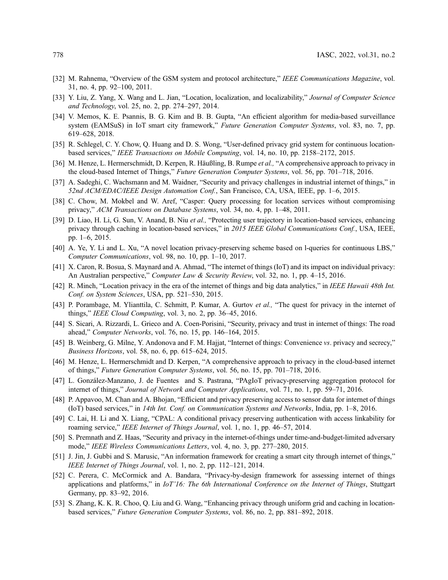- <span id="page-11-0"></span>[32] M. Rahnema, "Overview of the GSM system and protocol architecture," IEEE Communications Magazine, vol. 31, no. 4, pp. 92–100, 2011.
- <span id="page-11-1"></span>[33] Y. Liu, Z. Yang, X. Wang and L. Jian, "Location, localization, and localizability," Journal of Computer Science and Technology, vol. 25, no. 2, pp. 274–297, 2014.
- <span id="page-11-2"></span>[34] V. Memos, K. E. Psannis, B. G. Kim and B. B. Gupta, "An efficient algorithm for media-based surveillance system (EAMSuS) in IoT smart city framework," Future Generation Computer Systems, vol. 83, no. 7, pp. 619–628, 2018.
- <span id="page-11-3"></span>[35] R. Schlegel, C. Y. Chow, Q. Huang and D. S. Wong, "User-defined privacy grid system for continuous locationbased services," IEEE Transactions on Mobile Computing, vol. 14, no. 10, pp. 2158–2172, 2015.
- <span id="page-11-4"></span>[36] M. Henze, L. Hermerschmidt, D. Kerpen, R. Häußling, B. Rumpe et al., "A comprehensive approach to privacy in the cloud-based Internet of Things," Future Generation Computer Systems, vol. 56, pp. 701–718, 2016.
- <span id="page-11-5"></span>[37] A. Sadeghi, C. Wachsmann and M. Waidner, "Security and privacy challenges in industrial internet of things," in 52nd ACM/EDAC/IEEE Design Automation Conf., San Francisco, CA, USA, IEEE, pp. 1–6, 2015.
- <span id="page-11-6"></span>[38] C. Chow, M. Mokbel and W. Aref, "Casper: Query processing for location services without compromising privacy," ACM Transactions on Database Systems, vol. 34, no. 4, pp. 1–48, 2011.
- [39] D. Liao, H. Li, G. Sun, V. Anand, B. Niu et al., "Protecting user trajectory in location-based services, enhancing privacy through caching in location-based services," in 2015 IEEE Global Communications Conf., USA, IEEE, pp. 1–6, 2015.
- <span id="page-11-7"></span>[40] A. Ye, Y. Li and L. Xu, "A novel location privacy-preserving scheme based on l-queries for continuous LBS," Computer Communications, vol. 98, no. 10, pp. 1–10, 2017.
- <span id="page-11-8"></span>[41] X. Caron, R. Bosua, S. Maynard and A. Ahmad, "The internet of things (IoT) and its impact on individual privacy: An Australian perspective," Computer Law & Security Review, vol. 32, no. 1, pp. 4–15, 2016.
- <span id="page-11-9"></span>[42] R. Minch, "Location privacy in the era of the internet of things and big data analytics," in IEEE Hawaii 48th Int. Conf. on System Sciences, USA, pp. 521–530, 2015.
- <span id="page-11-10"></span>[43] P. Porambage, M. Ylianttila, C. Schmitt, P. Kumar, A. Gurtov et al., "The quest for privacy in the internet of things," IEEE Cloud Computing, vol. 3, no. 2, pp. 36–45, 2016.
- [44] S. Sicari, A. Rizzardi, L. Grieco and A. Coen-Porisini, "Security, privacy and trust in internet of things: The road ahead," Computer Networks, vol. 76, no. 15, pp. 146–164, 2015.
- <span id="page-11-11"></span>[45] B. Weinberg, G. Milne, Y. Andonova and F. M. Hajjat, "Internet of things: Convenience vs. privacy and secrecy," Business Horizons, vol. 58, no. 6, pp. 615–624, 2015.
- <span id="page-11-12"></span>[46] M. Henze, L. Hermerschmidt and D. Kerpen, "A comprehensive approach to privacy in the cloud-based internet of things," Future Generation Computer Systems, vol. 56, no. 15, pp. 701–718, 2016.
- <span id="page-11-13"></span>[47] L. González-Manzano, J. de Fuentes and S. Pastrana, "PAgIoT privacy-preserving aggregation protocol for internet of things," Journal of Network and Computer Applications, vol. 71, no. 1, pp. 59–71, 2016.
- <span id="page-11-14"></span>[48] P. Appavoo, M. Chan and A. Bhojan, "Efficient and privacy preserving access to sensor data for internet of things (IoT) based services," in 14th Int. Conf. on Communication Systems and Networks, India, pp. 1–8, 2016.
- <span id="page-11-15"></span>[49] C. Lai, H. Li and X. Liang, "CPAL: A conditional privacy preserving authentication with access linkability for roaming service," IEEE Internet of Things Journal, vol. 1, no. 1, pp. 46–57, 2014.
- <span id="page-11-16"></span>[50] S. Premnath and Z. Haas, "Security and privacy in the internet-of-things under time-and-budget-limited adversary mode," IEEE Wireless Communications Letters, vol. 4, no. 3, pp. 277–280, 2015.
- <span id="page-11-17"></span>[51] J. Jin, J. Gubbi and S. Marusic, "An information framework for creating a smart city through internet of things," IEEE Internet of Things Journal, vol. 1, no. 2, pp. 112–121, 2014.
- <span id="page-11-18"></span>[52] C. Perera, C. McCormick and A. Bandara, "Privacy-by-design framework for assessing internet of things applications and platforms," in IoT'16: The 6th International Conference on the Internet of Things, Stuttgart Germany, pp. 83–92, 2016.
- <span id="page-11-19"></span>[53] S. Zhang, K. K. R. Choo, Q. Liu and G. Wang, "Enhancing privacy through uniform grid and caching in locationbased services," Future Generation Computer Systems, vol. 86, no. 2, pp. 881–892, 2018.